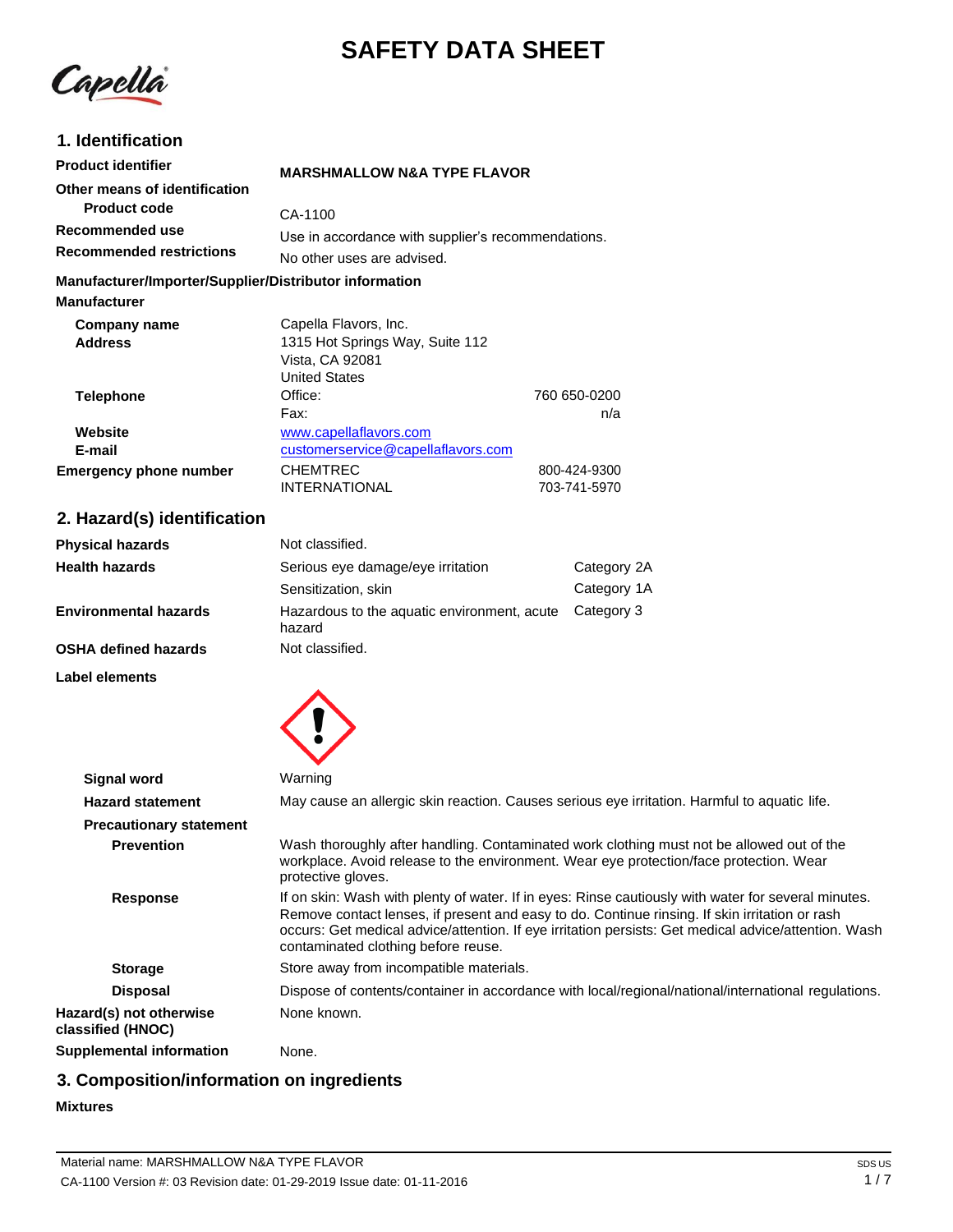# **SAFETY DATA SHEET**

Capella

## **1. Identification**

| <b>Product identifier</b>                                                     | <b>MARSHMALLOW N&amp;A TYPE FLAVOR</b>                                                              |  |
|-------------------------------------------------------------------------------|-----------------------------------------------------------------------------------------------------|--|
| Other means of identification                                                 |                                                                                                     |  |
| <b>Product code</b>                                                           | CA-1100                                                                                             |  |
| Recommended use<br><b>Recommended restrictions</b>                            | Use in accordance with supplier's recommendations.<br>No other uses are advised.                    |  |
| Manufacturer/Importer/Supplier/Distributor information<br><b>Manufacturer</b> |                                                                                                     |  |
| Company name<br><b>Address</b>                                                | Capella Flavors, Inc.<br>1315 Hot Springs Way, Suite 112<br>Vista, CA 92081<br><b>United States</b> |  |

| <b>Telephone</b>       | Office:                            | 760 650-0200 |
|------------------------|------------------------------------|--------------|
|                        | Fax:                               | n/a          |
| Website                | www.capellaflavors.com             |              |
| E-mail                 | customerservice@capellaflavors.com |              |
| Emergency phone number | <b>CHEMTREC</b>                    | 800-424-9300 |
|                        | <b>INTERNATIONAL</b>               | 703-741-5970 |

## **2. Hazard(s) identification**

| <b>Physical hazards</b>      | Not classified.                                       |             |
|------------------------------|-------------------------------------------------------|-------------|
| <b>Health hazards</b>        | Serious eye damage/eye irritation                     | Category 2A |
|                              | Sensitization, skin                                   | Category 1A |
| <b>Environmental hazards</b> | Hazardous to the aquatic environment, acute<br>hazard | Category 3  |
| <b>OSHA defined hazards</b>  | Not classified.                                       |             |

**Label elements**



| <b>Signal word</b>                           | Warning                                                                                                                                                                                                                                                                                                                                              |
|----------------------------------------------|------------------------------------------------------------------------------------------------------------------------------------------------------------------------------------------------------------------------------------------------------------------------------------------------------------------------------------------------------|
| <b>Hazard statement</b>                      | May cause an allergic skin reaction. Causes serious eye irritation. Harmful to aquatic life.                                                                                                                                                                                                                                                         |
| <b>Precautionary statement</b>               |                                                                                                                                                                                                                                                                                                                                                      |
| <b>Prevention</b>                            | Wash thoroughly after handling. Contaminated work clothing must not be allowed out of the<br>workplace. Avoid release to the environment. Wear eye protection/face protection. Wear<br>protective gloves.                                                                                                                                            |
| <b>Response</b>                              | If on skin: Wash with plenty of water. If in eyes: Rinse cautiously with water for several minutes.<br>Remove contact lenses, if present and easy to do. Continue rinsing. If skin irritation or rash<br>occurs: Get medical advice/attention. If eye irritation persists: Get medical advice/attention. Wash<br>contaminated clothing before reuse. |
| <b>Storage</b>                               | Store away from incompatible materials.                                                                                                                                                                                                                                                                                                              |
| <b>Disposal</b>                              | Dispose of contents/container in accordance with local/regional/national/international regulations.                                                                                                                                                                                                                                                  |
| Hazard(s) not otherwise<br>classified (HNOC) | None known.                                                                                                                                                                                                                                                                                                                                          |
| Supplemental information                     | None.                                                                                                                                                                                                                                                                                                                                                |
|                                              |                                                                                                                                                                                                                                                                                                                                                      |

## **3. Composition/information on ingredients**

#### **Mixtures**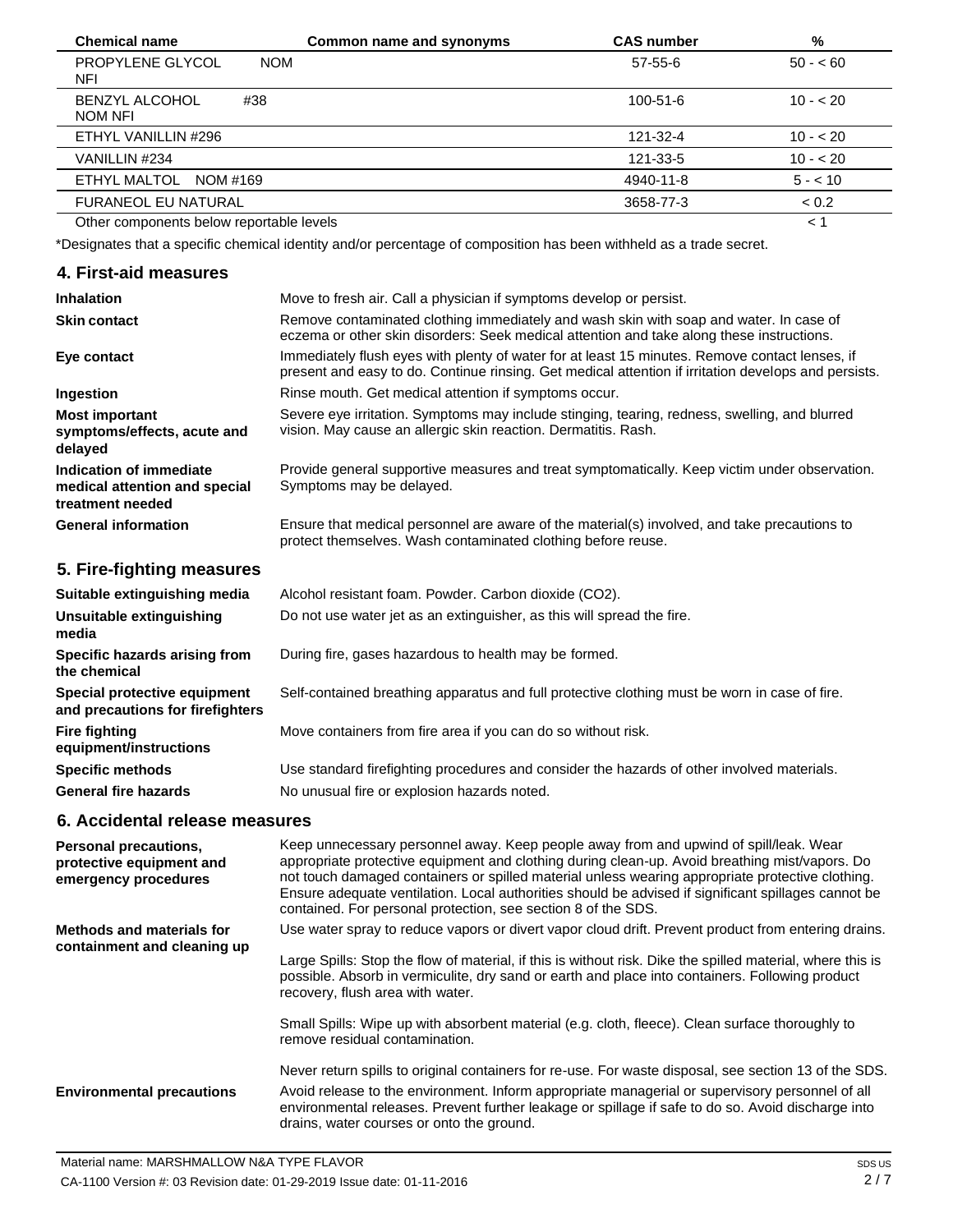| <b>Chemical name</b>                     | Common name and synonyms | <b>CAS number</b> | %         |
|------------------------------------------|--------------------------|-------------------|-----------|
| PROPYLENE GLYCOL<br><b>NOM</b><br>NFI    |                          | 57-55-6           | $50 - 60$ |
| <b>BENZYL ALCOHOL</b><br>#38<br>NOM NFI  |                          | $100 - 51 - 6$    | $10 - 20$ |
| ETHYL VANILLIN #296                      |                          | 121-32-4          | $10 - 20$ |
| VANILLIN #234                            |                          | 121-33-5          | $10 - 20$ |
| ETHYL MALTOL<br>NOM #169                 |                          | 4940-11-8         | $5 - 10$  |
| <b>FURANEOL EU NATURAL</b>               |                          | 3658-77-3         | < 0.2     |
| Other components below reportable levels |                          |                   | < 1       |

\*Designates that a specific chemical identity and/or percentage of composition has been withheld as a trade secret.

#### **4. First-aid measures**

| <b>Inhalation</b>                                                            | Move to fresh air. Call a physician if symptoms develop or persist.                                                                                                                                    |
|------------------------------------------------------------------------------|--------------------------------------------------------------------------------------------------------------------------------------------------------------------------------------------------------|
| <b>Skin contact</b>                                                          | Remove contaminated clothing immediately and wash skin with soap and water. In case of<br>eczema or other skin disorders: Seek medical attention and take along these instructions.                    |
| Eye contact                                                                  | Immediately flush eyes with plenty of water for at least 15 minutes. Remove contact lenses, if<br>present and easy to do. Continue rinsing. Get medical attention if irritation develops and persists. |
| Ingestion                                                                    | Rinse mouth. Get medical attention if symptoms occur.                                                                                                                                                  |
| <b>Most important</b><br>symptoms/effects, acute and<br>delayed              | Severe eye irritation. Symptoms may include stinging, tearing, redness, swelling, and blurred<br>vision. May cause an allergic skin reaction. Dermatitis. Rash.                                        |
| Indication of immediate<br>medical attention and special<br>treatment needed | Provide general supportive measures and treat symptomatically. Keep victim under observation.<br>Symptoms may be delayed.                                                                              |
| <b>General information</b>                                                   | Ensure that medical personnel are aware of the material(s) involved, and take precautions to<br>protect themselves. Wash contaminated clothing before reuse.                                           |
| 5. Fire-fighting measures                                                    |                                                                                                                                                                                                        |
| Suitable extinguishing media                                                 | Alcohol resistant foam. Powder. Carbon dioxide (CO2).                                                                                                                                                  |
| Unsuitable extinguishing<br>media                                            | Do not use water jet as an extinguisher, as this will spread the fire.                                                                                                                                 |
| Specific hazards arising from<br>the chemical                                | During fire, gases hazardous to health may be formed.                                                                                                                                                  |

**Special protective equipment and precautions for firefighters Fire fighting equipment/instructions** Self-contained breathing apparatus and full protective clothing must be worn in case of fire. Move containers from fire area if you can do so without risk.

> Use standard firefighting procedures and consider the hazards of other involved materials. No unusual fire or explosion hazards noted.

#### **6. Accidental release measures**

**Specific methods General fire hazards**

| Personal precautions,<br>protective equipment and<br>emergency procedures | Keep unnecessary personnel away. Keep people away from and upwind of spill/leak. Wear<br>appropriate protective equipment and clothing during clean-up. Avoid breathing mist/vapors. Do<br>not touch damaged containers or spilled material unless wearing appropriate protective clothing.<br>Ensure adequate ventilation. Local authorities should be advised if significant spillages cannot be<br>contained. For personal protection, see section 8 of the SDS. |
|---------------------------------------------------------------------------|---------------------------------------------------------------------------------------------------------------------------------------------------------------------------------------------------------------------------------------------------------------------------------------------------------------------------------------------------------------------------------------------------------------------------------------------------------------------|
| <b>Methods and materials for</b><br>containment and cleaning up           | Use water spray to reduce vapors or divert vapor cloud drift. Prevent product from entering drains.<br>Large Spills: Stop the flow of material, if this is without risk. Dike the spilled material, where this is<br>possible. Absorb in vermiculite, dry sand or earth and place into containers. Following product<br>recovery, flush area with water.                                                                                                            |
|                                                                           | Small Spills: Wipe up with absorbent material (e.g. cloth, fleece). Clean surface thoroughly to<br>remove residual contamination.                                                                                                                                                                                                                                                                                                                                   |
| <b>Environmental precautions</b>                                          | Never return spills to original containers for re-use. For waste disposal, see section 13 of the SDS.<br>Avoid release to the environment. Inform appropriate managerial or supervisory personnel of all<br>environmental releases. Prevent further leakage or spillage if safe to do so. Avoid discharge into<br>drains, water courses or onto the ground.                                                                                                         |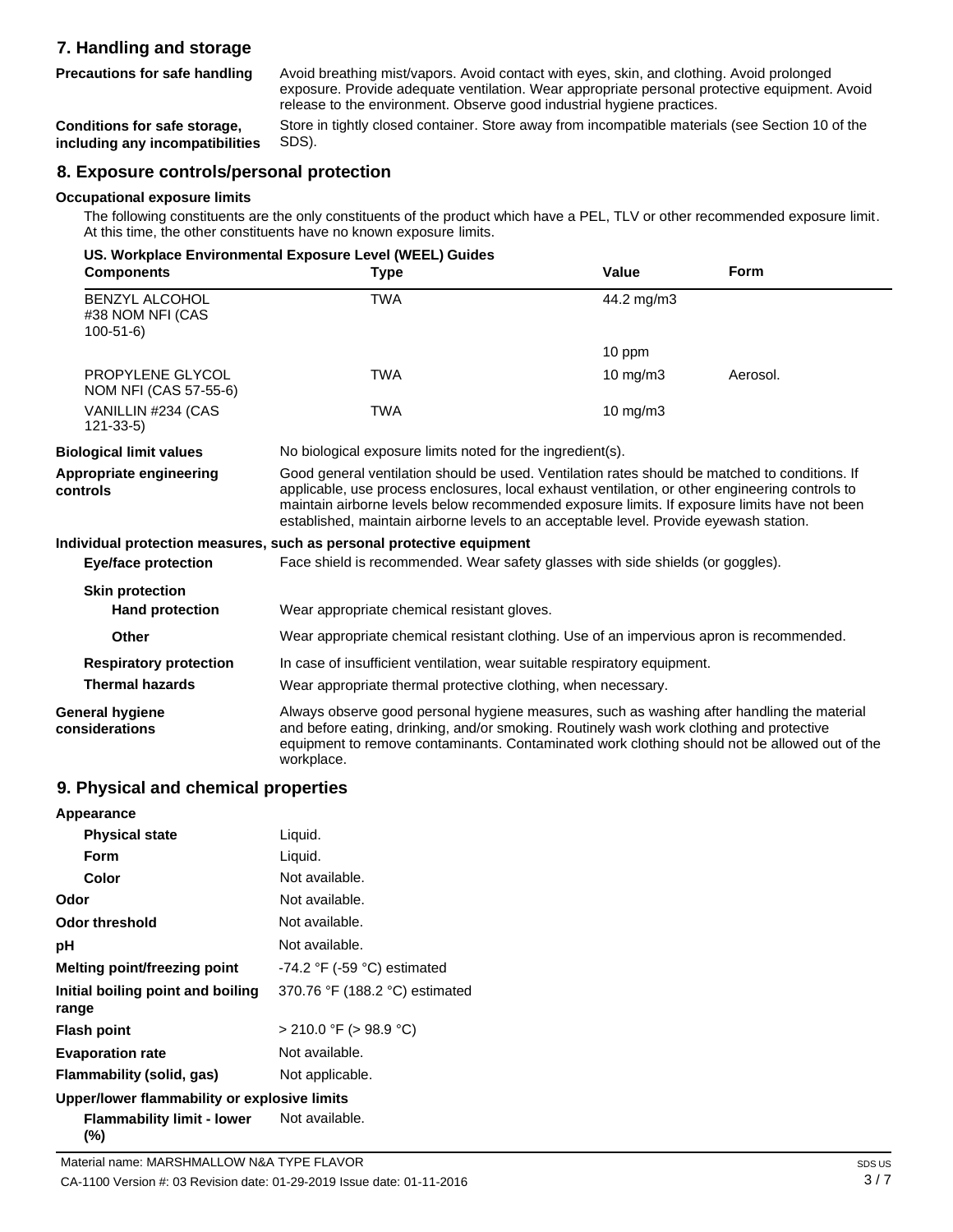## **7. Handling and storage**

**Precautions for safe handling**

Avoid breathing mist/vapors. Avoid contact with eyes, skin, and clothing. Avoid prolonged exposure. Provide adequate ventilation. Wear appropriate personal protective equipment. Avoid release to the environment. Observe good industrial hygiene practices.

**Conditions for safe storage, including any incompatibilities** Store in tightly closed container. Store away from incompatible materials (see Section 10 of the SDS).

## **8. Exposure controls/personal protection**

#### **Occupational exposure limits**

The following constituents are the only constituents of the product which have a PEL, TLV or other recommended exposure limit. At this time, the other constituents have no known exposure limits.

|                                                             | US. Workplace Environmental Exposure Level (WEEL) Guides                                                                                                                                                                                                                                                                                                                                    |                   |             |
|-------------------------------------------------------------|---------------------------------------------------------------------------------------------------------------------------------------------------------------------------------------------------------------------------------------------------------------------------------------------------------------------------------------------------------------------------------------------|-------------------|-------------|
| <b>Components</b>                                           | <b>Type</b>                                                                                                                                                                                                                                                                                                                                                                                 | Value             | <b>Form</b> |
| <b>BENZYL ALCOHOL</b><br>#38 NOM NFI (CAS<br>$100 - 51 - 6$ | <b>TWA</b>                                                                                                                                                                                                                                                                                                                                                                                  | 44.2 mg/m3        |             |
|                                                             |                                                                                                                                                                                                                                                                                                                                                                                             | 10 ppm            |             |
| PROPYLENE GLYCOL<br>NOM NFI (CAS 57-55-6)                   | <b>TWA</b>                                                                                                                                                                                                                                                                                                                                                                                  | 10 mg/m $3$       | Aerosol.    |
| VANILLIN #234 (CAS<br>$121 - 33 - 5$                        | <b>TWA</b>                                                                                                                                                                                                                                                                                                                                                                                  | $10 \text{ mg/m}$ |             |
| <b>Biological limit values</b>                              | No biological exposure limits noted for the ingredient(s).                                                                                                                                                                                                                                                                                                                                  |                   |             |
| Appropriate engineering<br>controls                         | Good general ventilation should be used. Ventilation rates should be matched to conditions. If<br>applicable, use process enclosures, local exhaust ventilation, or other engineering controls to<br>maintain airborne levels below recommended exposure limits. If exposure limits have not been<br>established, maintain airborne levels to an acceptable level. Provide eyewash station. |                   |             |
|                                                             | Individual protection measures, such as personal protective equipment                                                                                                                                                                                                                                                                                                                       |                   |             |
| <b>Eye/face protection</b>                                  | Face shield is recommended. Wear safety glasses with side shields (or goggles).                                                                                                                                                                                                                                                                                                             |                   |             |
| <b>Skin protection</b>                                      |                                                                                                                                                                                                                                                                                                                                                                                             |                   |             |
| <b>Hand protection</b>                                      | Wear appropriate chemical resistant gloves.                                                                                                                                                                                                                                                                                                                                                 |                   |             |
| Other                                                       | Wear appropriate chemical resistant clothing. Use of an impervious apron is recommended.                                                                                                                                                                                                                                                                                                    |                   |             |
| <b>Respiratory protection</b>                               | In case of insufficient ventilation, wear suitable respiratory equipment.                                                                                                                                                                                                                                                                                                                   |                   |             |
| <b>Thermal hazards</b>                                      | Wear appropriate thermal protective clothing, when necessary.                                                                                                                                                                                                                                                                                                                               |                   |             |
| General hygiene<br>considerations                           | Always observe good personal hygiene measures, such as washing after handling the material<br>and before eating, drinking, and/or smoking. Routinely wash work clothing and protective<br>equipment to remove contaminants. Contaminated work clothing should not be allowed out of the<br>workplace.                                                                                       |                   |             |

#### **9. Physical and chemical properties**

| Appearance                                   |                                               |
|----------------------------------------------|-----------------------------------------------|
| <b>Physical state</b>                        | Liquid.                                       |
| Form                                         | Liquid.                                       |
| Color                                        | Not available.                                |
| Odor                                         | Not available.                                |
| Odor threshold                               | Not available.                                |
| рH                                           | Not available.                                |
| Melting point/freezing point                 | -74.2 $\degree$ F (-59 $\degree$ C) estimated |
| Initial boiling point and boiling<br>range   | 370.76 °F (188.2 °C) estimated                |
| <b>Flash point</b>                           | $>$ 210.0 °F ( $>$ 98.9 °C)                   |
| <b>Evaporation rate</b>                      | Not available.                                |
| Flammability (solid, gas)                    | Not applicable.                               |
| Upper/lower flammability or explosive limits |                                               |
| Flammability limit - lower<br>(%)            | Not available.                                |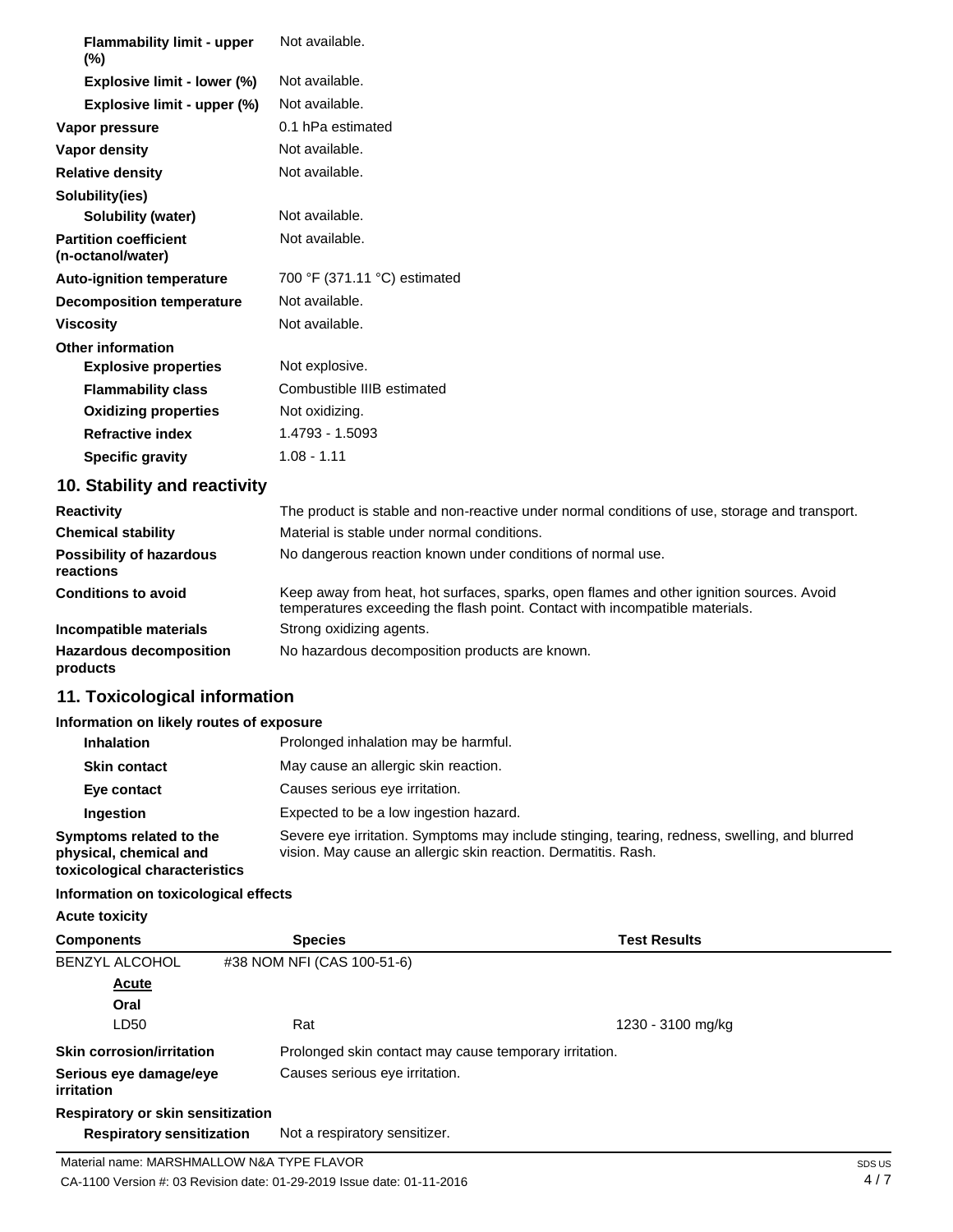| <b>Flammability limit - upper</b><br>$(\%)$       | Not available.               |
|---------------------------------------------------|------------------------------|
| Explosive limit - lower (%)                       | Not available.               |
| Explosive limit - upper (%)                       | Not available.               |
| Vapor pressure                                    | 0.1 hPa estimated            |
| Vapor density                                     | Not available.               |
| <b>Relative density</b>                           | Not available.               |
| Solubility(ies)                                   |                              |
| Solubility (water)                                | Not available.               |
| <b>Partition coefficient</b><br>(n-octanol/water) | Not available.               |
| <b>Auto-ignition temperature</b>                  | 700 °F (371.11 °C) estimated |
| <b>Decomposition temperature</b>                  | Not available.               |
| <b>Viscosity</b>                                  | Not available.               |
| <b>Other information</b>                          |                              |
| <b>Explosive properties</b>                       | Not explosive.               |
| <b>Flammability class</b>                         | Combustible IIIB estimated   |
| <b>Oxidizing properties</b>                       | Not oxidizing.               |
| <b>Refractive index</b>                           | 1.4793 - 1.5093              |
| <b>Specific gravity</b>                           | $1.08 - 1.11$                |
| 10. Stability and reactivity                      |                              |

| <b>Reactivity</b>                            | The product is stable and non-reactive under normal conditions of use, storage and transport.                                                                            |
|----------------------------------------------|--------------------------------------------------------------------------------------------------------------------------------------------------------------------------|
| <b>Chemical stability</b>                    | Material is stable under normal conditions.                                                                                                                              |
| <b>Possibility of hazardous</b><br>reactions | No dangerous reaction known under conditions of normal use.                                                                                                              |
| <b>Conditions to avoid</b>                   | Keep away from heat, hot surfaces, sparks, open flames and other ignition sources. Avoid<br>temperatures exceeding the flash point. Contact with incompatible materials. |
| Incompatible materials                       | Strong oxidizing agents.                                                                                                                                                 |
| <b>Hazardous decomposition</b><br>products   | No hazardous decomposition products are known.                                                                                                                           |

## **11. Toxicological information**

#### **Information on likely routes of exposure**

| <b>Inhalation</b>                                                                  | Prolonged inhalation may be harmful.                                                                                                                            |
|------------------------------------------------------------------------------------|-----------------------------------------------------------------------------------------------------------------------------------------------------------------|
| <b>Skin contact</b>                                                                | May cause an allergic skin reaction.                                                                                                                            |
| Eye contact                                                                        | Causes serious eye irritation.                                                                                                                                  |
| <b>Ingestion</b>                                                                   | Expected to be a low ingestion hazard.                                                                                                                          |
| Symptoms related to the<br>physical, chemical and<br>toxicological characteristics | Severe eye irritation. Symptoms may include stinging, tearing, redness, swelling, and blurred<br>vision. May cause an allergic skin reaction. Dermatitis. Rash. |

#### **Information on toxicological effects**

**Acute toxicity**

| <b>Components</b>                           | <b>Species</b>                                         | <b>Test Results</b> |
|---------------------------------------------|--------------------------------------------------------|---------------------|
| <b>BENZYL ALCOHOL</b>                       | #38 NOM NFI (CAS 100-51-6)                             |                     |
| <b>Acute</b>                                |                                                        |                     |
| Oral                                        |                                                        |                     |
| LD50                                        | Rat                                                    | 1230 - 3100 mg/kg   |
| <b>Skin corrosion/irritation</b>            | Prolonged skin contact may cause temporary irritation. |                     |
| Serious eye damage/eye<br><i>irritation</i> | Causes serious eye irritation.                         |                     |
| Respiratory or skin sensitization           |                                                        |                     |
| <b>Respiratory sensitization</b>            | Not a respiratory sensitizer.                          |                     |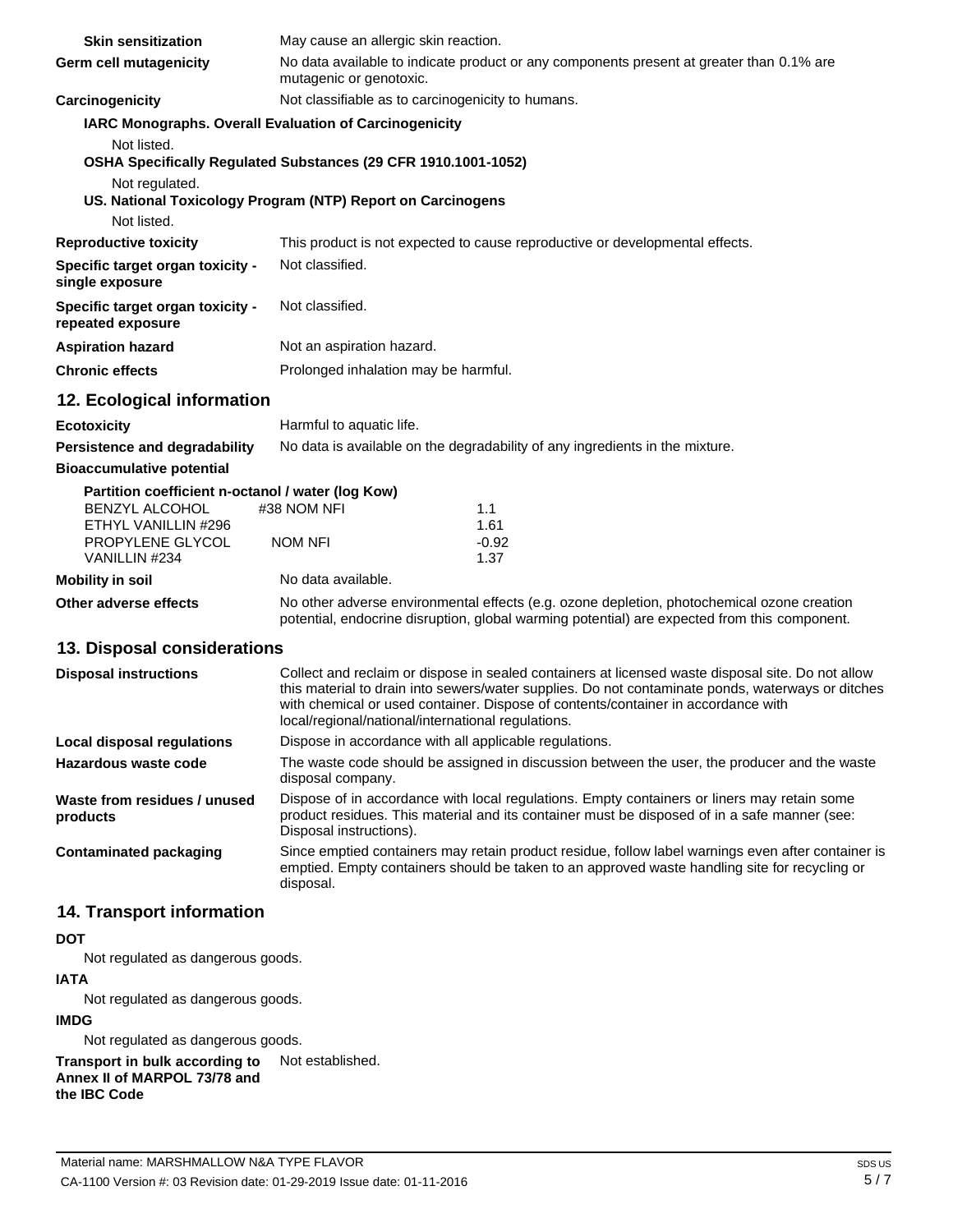| <b>Skin sensitization</b>                             | May cause an allergic skin reaction.                                                                                                                                                                                                                                                                                                              |  |
|-------------------------------------------------------|---------------------------------------------------------------------------------------------------------------------------------------------------------------------------------------------------------------------------------------------------------------------------------------------------------------------------------------------------|--|
| <b>Germ cell mutagenicity</b>                         | No data available to indicate product or any components present at greater than 0.1% are<br>mutagenic or genotoxic.                                                                                                                                                                                                                               |  |
| Carcinogenicity                                       | Not classifiable as to carcinogenicity to humans.                                                                                                                                                                                                                                                                                                 |  |
|                                                       | IARC Monographs. Overall Evaluation of Carcinogenicity                                                                                                                                                                                                                                                                                            |  |
| Not listed.                                           |                                                                                                                                                                                                                                                                                                                                                   |  |
|                                                       | OSHA Specifically Regulated Substances (29 CFR 1910.1001-1052)                                                                                                                                                                                                                                                                                    |  |
| Not regulated.                                        | US. National Toxicology Program (NTP) Report on Carcinogens                                                                                                                                                                                                                                                                                       |  |
| Not listed.                                           |                                                                                                                                                                                                                                                                                                                                                   |  |
| <b>Reproductive toxicity</b>                          | This product is not expected to cause reproductive or developmental effects.                                                                                                                                                                                                                                                                      |  |
| Specific target organ toxicity -<br>single exposure   | Not classified.                                                                                                                                                                                                                                                                                                                                   |  |
| Specific target organ toxicity -<br>repeated exposure | Not classified.                                                                                                                                                                                                                                                                                                                                   |  |
| <b>Aspiration hazard</b>                              | Not an aspiration hazard.                                                                                                                                                                                                                                                                                                                         |  |
| <b>Chronic effects</b>                                | Prolonged inhalation may be harmful.                                                                                                                                                                                                                                                                                                              |  |
| 12. Ecological information                            |                                                                                                                                                                                                                                                                                                                                                   |  |
| <b>Ecotoxicity</b>                                    | Harmful to aquatic life.                                                                                                                                                                                                                                                                                                                          |  |
| Persistence and degradability                         | No data is available on the degradability of any ingredients in the mixture.                                                                                                                                                                                                                                                                      |  |
| <b>Bioaccumulative potential</b>                      |                                                                                                                                                                                                                                                                                                                                                   |  |
| Partition coefficient n-octanol / water (log Kow)     |                                                                                                                                                                                                                                                                                                                                                   |  |
| <b>BENZYL ALCOHOL</b><br>ETHYL VANILLIN #296          | #38 NOM NFI<br>1.1<br>1.61                                                                                                                                                                                                                                                                                                                        |  |
| PROPYLENE GLYCOL                                      | $-0.92$<br>NOM NFI                                                                                                                                                                                                                                                                                                                                |  |
| VANILLIN #234                                         | 1.37                                                                                                                                                                                                                                                                                                                                              |  |
| <b>Mobility in soil</b>                               | No data available.                                                                                                                                                                                                                                                                                                                                |  |
| Other adverse effects                                 | No other adverse environmental effects (e.g. ozone depletion, photochemical ozone creation<br>potential, endocrine disruption, global warming potential) are expected from this component.                                                                                                                                                        |  |
| 13. Disposal considerations                           |                                                                                                                                                                                                                                                                                                                                                   |  |
| <b>Disposal instructions</b>                          | Collect and reclaim or dispose in sealed containers at licensed waste disposal site. Do not allow<br>this material to drain into sewers/water supplies. Do not contaminate ponds, waterways or ditches<br>with chemical or used container. Dispose of contents/container in accordance with<br>local/regional/national/international regulations. |  |
| Local disposal regulations                            | Dispose in accordance with all applicable regulations.                                                                                                                                                                                                                                                                                            |  |
| Hazardous waste code                                  | The waste code should be assigned in discussion between the user, the producer and the waste<br>disposal company.                                                                                                                                                                                                                                 |  |
| Waste from residues / unused                          | Dispose of in accordance with local regulations. Empty containers or liners may retain some                                                                                                                                                                                                                                                       |  |

product residues. This material and its container must be disposed of in a safe manner (see:

Since emptied containers may retain product residue, follow label warnings even after container is emptied. Empty containers should be taken to an approved waste handling site for recycling or

**products**

**Contaminated packaging**

## **14. Transport information**

### **DOT**

Not regulated as dangerous goods.

## **IATA**

Not regulated as dangerous goods.

## **IMDG**

Not regulated as dangerous goods.

**Transport in bulk according to Annex II of MARPOL 73/78 and the IBC Code** Not established.

Disposal instructions).

disposal.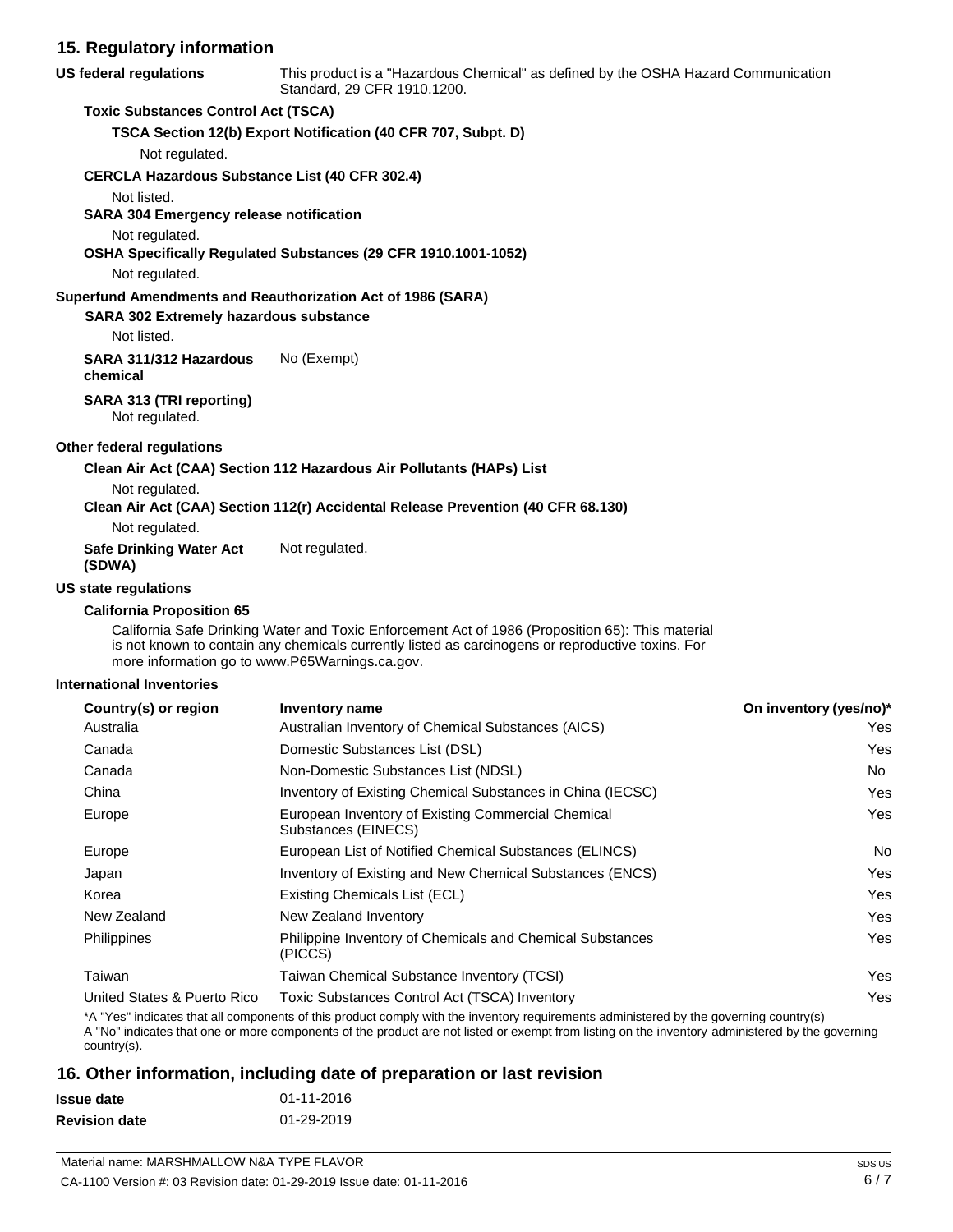| 15. Regulatory information                                                         |                                                                                                                                                                                                       |                        |
|------------------------------------------------------------------------------------|-------------------------------------------------------------------------------------------------------------------------------------------------------------------------------------------------------|------------------------|
| <b>US federal regulations</b>                                                      | This product is a "Hazardous Chemical" as defined by the OSHA Hazard Communication<br>Standard, 29 CFR 1910.1200.                                                                                     |                        |
| <b>Toxic Substances Control Act (TSCA)</b>                                         |                                                                                                                                                                                                       |                        |
|                                                                                    | TSCA Section 12(b) Export Notification (40 CFR 707, Subpt. D)                                                                                                                                         |                        |
| Not regulated.                                                                     |                                                                                                                                                                                                       |                        |
| <b>CERCLA Hazardous Substance List (40 CFR 302.4)</b>                              |                                                                                                                                                                                                       |                        |
| Not listed.                                                                        |                                                                                                                                                                                                       |                        |
| <b>SARA 304 Emergency release notification</b>                                     |                                                                                                                                                                                                       |                        |
| Not regulated.                                                                     |                                                                                                                                                                                                       |                        |
|                                                                                    | OSHA Specifically Regulated Substances (29 CFR 1910.1001-1052)                                                                                                                                        |                        |
| Not regulated.                                                                     |                                                                                                                                                                                                       |                        |
| Superfund Amendments and Reauthorization Act of 1986 (SARA)                        |                                                                                                                                                                                                       |                        |
| <b>SARA 302 Extremely hazardous substance</b>                                      |                                                                                                                                                                                                       |                        |
| Not listed.                                                                        |                                                                                                                                                                                                       |                        |
| SARA 311/312 Hazardous<br>chemical                                                 | No (Exempt)                                                                                                                                                                                           |                        |
| SARA 313 (TRI reporting)<br>Not regulated.                                         |                                                                                                                                                                                                       |                        |
| <b>Other federal regulations</b>                                                   |                                                                                                                                                                                                       |                        |
|                                                                                    | Clean Air Act (CAA) Section 112 Hazardous Air Pollutants (HAPs) List                                                                                                                                  |                        |
| Not regulated.                                                                     | Clean Air Act (CAA) Section 112(r) Accidental Release Prevention (40 CFR 68.130)                                                                                                                      |                        |
| Not regulated.                                                                     |                                                                                                                                                                                                       |                        |
| <b>Safe Drinking Water Act</b><br>(SDWA)                                           | Not regulated.                                                                                                                                                                                        |                        |
| <b>US state regulations</b>                                                        |                                                                                                                                                                                                       |                        |
| <b>California Proposition 65</b><br>more information go to www.P65Warnings.ca.gov. | California Safe Drinking Water and Toxic Enforcement Act of 1986 (Proposition 65): This material<br>is not known to contain any chemicals currently listed as carcinogens or reproductive toxins. For |                        |
| International Inventories                                                          |                                                                                                                                                                                                       |                        |
| Country(s) or region                                                               | <b>Inventory name</b>                                                                                                                                                                                 | On inventory (yes/no)* |

| Australia                   | Australian Inventory of Chemical Substances (AICS)                        | Yes |
|-----------------------------|---------------------------------------------------------------------------|-----|
| Canada                      | Domestic Substances List (DSL)                                            | Yes |
| Canada                      | Non-Domestic Substances List (NDSL)                                       | No. |
| China                       | Inventory of Existing Chemical Substances in China (IECSC)                | Yes |
| Europe                      | European Inventory of Existing Commercial Chemical<br>Substances (EINECS) | Yes |
| Europe                      | European List of Notified Chemical Substances (ELINCS)                    | No  |
| Japan                       | Inventory of Existing and New Chemical Substances (ENCS)                  | Yes |
| Korea                       | Existing Chemicals List (ECL)                                             | Yes |
| New Zealand                 | New Zealand Inventory                                                     | Yes |
| <b>Philippines</b>          | Philippine Inventory of Chemicals and Chemical Substances<br>(PICCS)      | Yes |
| Taiwan                      | Taiwan Chemical Substance Inventory (TCSI)                                | Yes |
| United States & Puerto Rico | <b>Toxic Substances Control Act (TSCA) Inventory</b>                      | Yes |

\*A "Yes" indicates that all components of this product comply with the inventory requirements administered by the governing country(s)

A "No" indicates that one or more components of the product are not listed or exempt from listing on the inventory administered by the governing country(s).

## **16. Other information, including date of preparation or last revision**

| Issue date    | 01-11-2016 |
|---------------|------------|
| Revision date | 01-29-2019 |